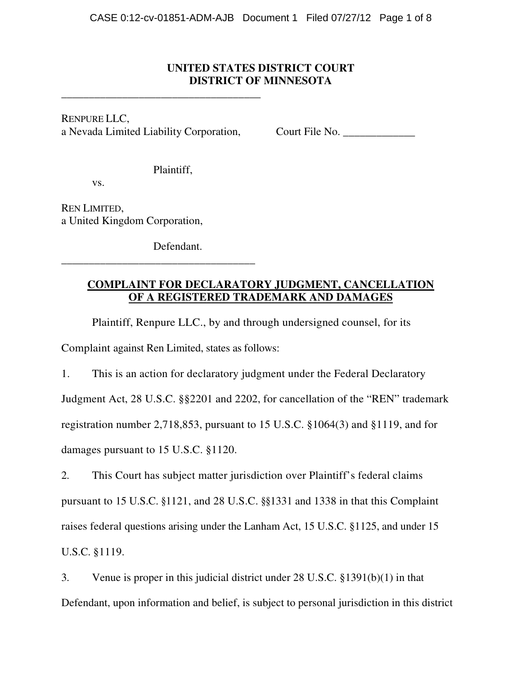### **UNITED STATES DISTRICT COURT DISTRICT OF MINNESOTA**

RENPURE LLC, a Nevada Limited Liability Corporation, Court File No.

**\_\_\_\_\_\_\_\_\_\_\_\_\_\_\_\_\_\_\_\_\_\_\_\_\_\_\_\_\_\_\_\_\_\_\_\_**

Plaintiff,

vs.

REN LIMITED, a United Kingdom Corporation,

Defendant.

**\_\_\_\_\_\_\_\_\_\_\_\_\_\_\_\_\_\_\_\_\_\_\_\_\_\_\_\_\_\_\_\_\_\_\_**

# **COMPLAINT FOR DECLARATORY JUDGMENT, CANCELLATION OF A REGISTERED TRADEMARK AND DAMAGES**

Plaintiff, Renpure LLC., by and through undersigned counsel, for its

Complaint against Ren Limited, states as follows:

1. This is an action for declaratory judgment under the Federal Declaratory Judgment Act, 28 U.S.C. §§2201 and 2202, for cancellation of the "REN" trademark registration number 2,718,853, pursuant to 15 U.S.C. §1064(3) and §1119, and for damages pursuant to 15 U.S.C. §1120.

2. This Court has subject matter jurisdiction over Plaintiff's federal claims pursuant to 15 U.S.C. §1121, and 28 U.S.C. §§1331 and 1338 in that this Complaint raises federal questions arising under the Lanham Act, 15 U.S.C. §1125, and under 15 U.S.C. §1119.

3. Venue is proper in this judicial district under 28 U.S.C. §1391(b)(1) in that Defendant, upon information and belief, is subject to personal jurisdiction in this district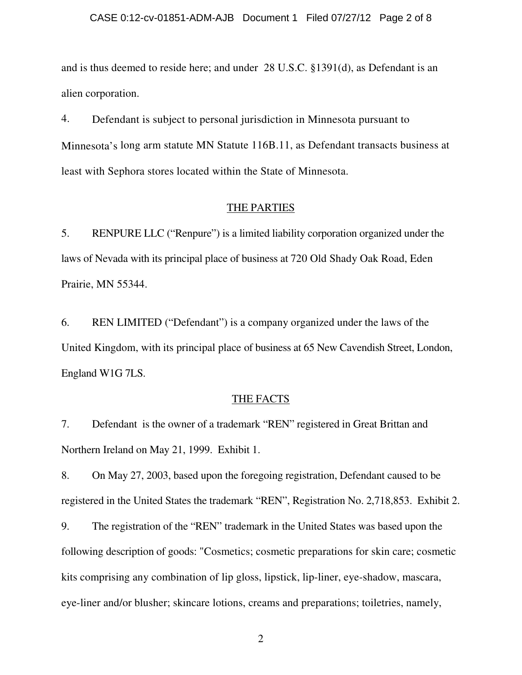#### CASE 0:12-cv-01851-ADM-AJB Document 1 Filed 07/27/12 Page 2 of 8

and is thus deemed to reside here; and under 28 U.S.C. §1391(d), as Defendant is an alien corporation.

4. Defendant is subject to personal jurisdiction in Minnesota pursuant to Minnesota's long arm statute MN Statute 116B.11, as Defendant transacts business at least with Sephora stores located within the State of Minnesota.

### THE PARTIES

5. RENPURE LLC ("Renpure") is a limited liability corporation organized under the laws of Nevada with its principal place of business at 720 Old Shady Oak Road, Eden Prairie, MN 55344.

6. REN LIMITED ("Defendant") is a company organized under the laws of the United Kingdom, with its principal place of business at 65 New Cavendish Street, London, England W1G 7LS.

### THE FACTS

7. Defendant is the owner of a trademark "REN" registered in Great Brittan and Northern Ireland on May 21, 1999. Exhibit 1.

8. On May 27, 2003, based upon the foregoing registration, Defendant caused to be registered in the United States the trademark "REN", Registration No. 2,718,853. Exhibit 2.

9. The registration of the "REN" trademark in the United States was based upon the following description of goods: "Cosmetics; cosmetic preparations for skin care; cosmetic kits comprising any combination of lip gloss, lipstick, lip-liner, eye-shadow, mascara, eye-liner and/or blusher; skincare lotions, creams and preparations; toiletries, namely,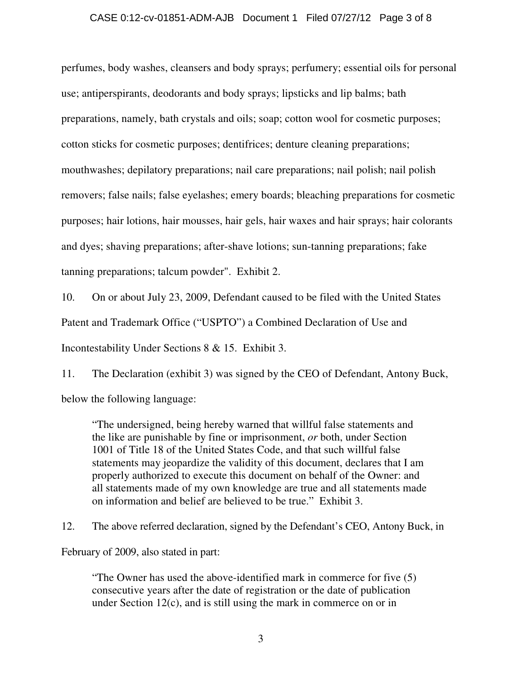### CASE 0:12-cv-01851-ADM-AJB Document 1 Filed 07/27/12 Page 3 of 8

perfumes, body washes, cleansers and body sprays; perfumery; essential oils for personal use; antiperspirants, deodorants and body sprays; lipsticks and lip balms; bath preparations, namely, bath crystals and oils; soap; cotton wool for cosmetic purposes; cotton sticks for cosmetic purposes; dentifrices; denture cleaning preparations; mouthwashes; depilatory preparations; nail care preparations; nail polish; nail polish removers; false nails; false eyelashes; emery boards; bleaching preparations for cosmetic purposes; hair lotions, hair mousses, hair gels, hair waxes and hair sprays; hair colorants and dyes; shaving preparations; after-shave lotions; sun-tanning preparations; fake tanning preparations; talcum powder". Exhibit 2.

10. On or about July 23, 2009, Defendant caused to be filed with the United States Patent and Trademark Office ("USPTO") a Combined Declaration of Use and Incontestability Under Sections 8 & 15. Exhibit 3.

11. The Declaration (exhibit 3) was signed by the CEO of Defendant, Antony Buck, below the following language:

"The undersigned, being hereby warned that willful false statements and the like are punishable by fine or imprisonment, *or* both, under Section 1001 of Title 18 of the United States Code, and that such willful false statements may jeopardize the validity of this document, declares that I am properly authorized to execute this document on behalf of the Owner: and all statements made of my own knowledge are true and all statements made on information and belief are believed to be true." Exhibit 3.

12. The above referred declaration, signed by the Defendant's CEO, Antony Buck, in

February of 2009, also stated in part:

"The Owner has used the above-identified mark in commerce for five (5) consecutive years after the date of registration or the date of publication under Section 12(c), and is still using the mark in commerce on or in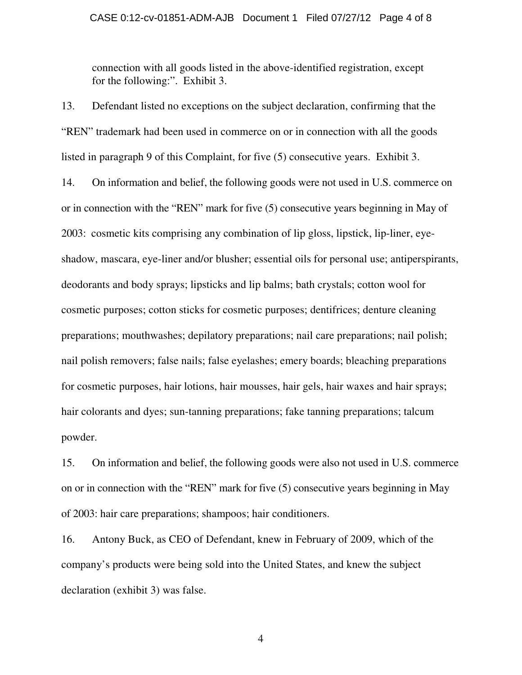connection with all goods listed in the above-identified registration, except for the following:". Exhibit 3.

13. Defendant listed no exceptions on the subject declaration, confirming that the "REN" trademark had been used in commerce on or in connection with all the goods listed in paragraph 9 of this Complaint, for five (5) consecutive years. Exhibit 3.

14. On information and belief, the following goods were not used in U.S. commerce on or in connection with the "REN" mark for five (5) consecutive years beginning in May of 2003: cosmetic kits comprising any combination of lip gloss, lipstick, lip-liner, eyeshadow, mascara, eye-liner and/or blusher; essential oils for personal use; antiperspirants, deodorants and body sprays; lipsticks and lip balms; bath crystals; cotton wool for cosmetic purposes; cotton sticks for cosmetic purposes; dentifrices; denture cleaning preparations; mouthwashes; depilatory preparations; nail care preparations; nail polish; nail polish removers; false nails; false eyelashes; emery boards; bleaching preparations for cosmetic purposes, hair lotions, hair mousses, hair gels, hair waxes and hair sprays; hair colorants and dyes; sun-tanning preparations; fake tanning preparations; talcum powder.

15. On information and belief, the following goods were also not used in U.S. commerce on or in connection with the "REN" mark for five (5) consecutive years beginning in May of 2003: hair care preparations; shampoos; hair conditioners.

16. Antony Buck, as CEO of Defendant, knew in February of 2009, which of the company's products were being sold into the United States, and knew the subject declaration (exhibit 3) was false.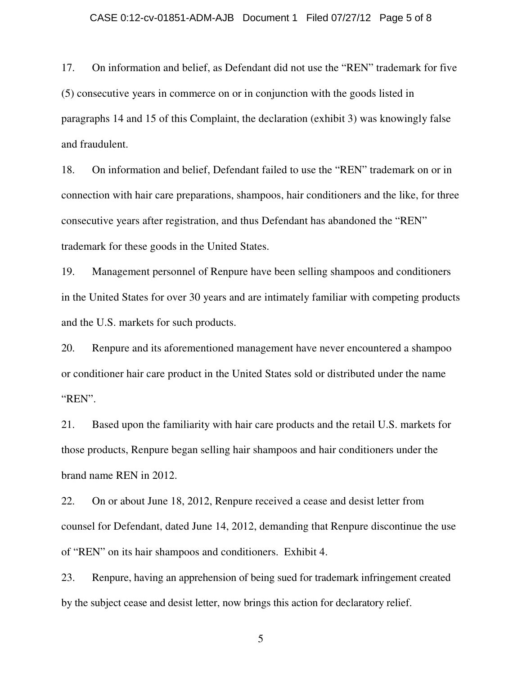#### CASE 0:12-cv-01851-ADM-AJB Document 1 Filed 07/27/12 Page 5 of 8

17. On information and belief, as Defendant did not use the "REN" trademark for five (5) consecutive years in commerce on or in conjunction with the goods listed in paragraphs 14 and 15 of this Complaint, the declaration (exhibit 3) was knowingly false and fraudulent.

18. On information and belief, Defendant failed to use the "REN" trademark on or in connection with hair care preparations, shampoos, hair conditioners and the like, for three consecutive years after registration, and thus Defendant has abandoned the "REN" trademark for these goods in the United States.

19. Management personnel of Renpure have been selling shampoos and conditioners in the United States for over 30 years and are intimately familiar with competing products and the U.S. markets for such products.

20. Renpure and its aforementioned management have never encountered a shampoo or conditioner hair care product in the United States sold or distributed under the name "REN".

21. Based upon the familiarity with hair care products and the retail U.S. markets for those products, Renpure began selling hair shampoos and hair conditioners under the brand name REN in 2012.

22. On or about June 18, 2012, Renpure received a cease and desist letter from counsel for Defendant, dated June 14, 2012, demanding that Renpure discontinue the use of "REN" on its hair shampoos and conditioners. Exhibit 4.

23. Renpure, having an apprehension of being sued for trademark infringement created by the subject cease and desist letter, now brings this action for declaratory relief.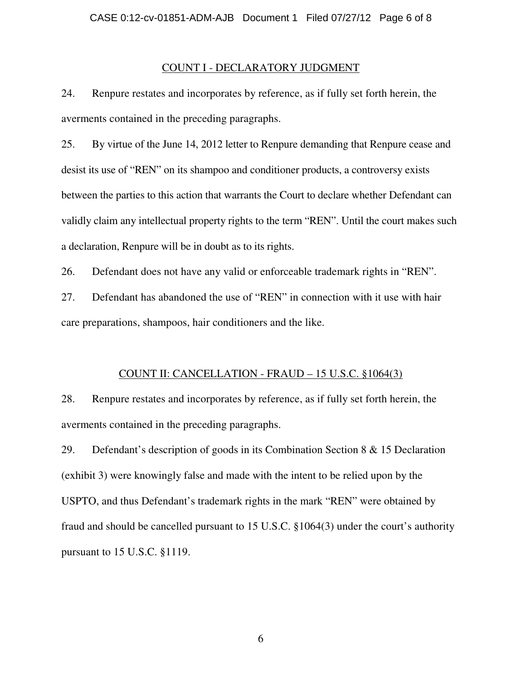#### COUNT I - DECLARATORY JUDGMENT

24. Renpure restates and incorporates by reference, as if fully set forth herein, the averments contained in the preceding paragraphs.

25. By virtue of the June 14, 2012 letter to Renpure demanding that Renpure cease and desist its use of "REN" on its shampoo and conditioner products, a controversy exists between the parties to this action that warrants the Court to declare whether Defendant can validly claim any intellectual property rights to the term "REN". Until the court makes such a declaration, Renpure will be in doubt as to its rights.

26. Defendant does not have any valid or enforceable trademark rights in "REN".

27. Defendant has abandoned the use of "REN" in connection with it use with hair care preparations, shampoos, hair conditioners and the like.

#### COUNT II: CANCELLATION - FRAUD – 15 U.S.C. §1064(3)

28. Renpure restates and incorporates by reference, as if fully set forth herein, the averments contained in the preceding paragraphs.

29. Defendant's description of goods in its Combination Section 8 & 15 Declaration (exhibit 3) were knowingly false and made with the intent to be relied upon by the USPTO, and thus Defendant's trademark rights in the mark "REN" were obtained by fraud and should be cancelled pursuant to 15 U.S.C. §1064(3) under the court's authority pursuant to 15 U.S.C. §1119.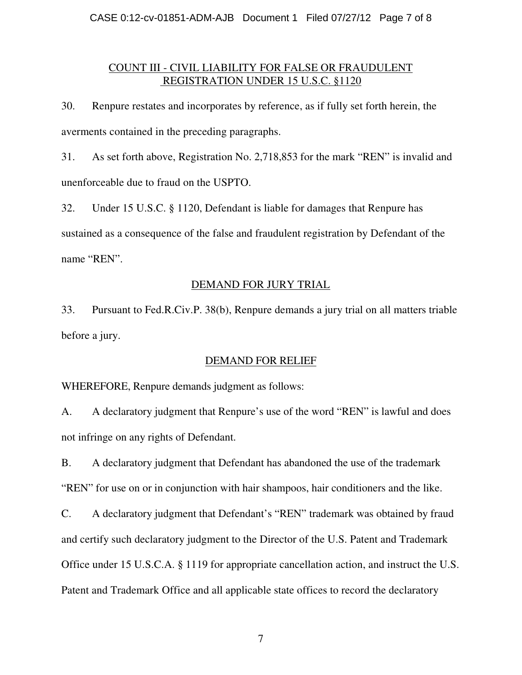### COUNT III - CIVIL LIABILITY FOR FALSE OR FRAUDULENT REGISTRATION UNDER 15 U.S.C. §1120

30. Renpure restates and incorporates by reference, as if fully set forth herein, the averments contained in the preceding paragraphs.

31. As set forth above, Registration No. 2,718,853 for the mark "REN" is invalid and unenforceable due to fraud on the USPTO.

32. Under 15 U.S.C. § 1120, Defendant is liable for damages that Renpure has sustained as a consequence of the false and fraudulent registration by Defendant of the name "REN".

# DEMAND FOR JURY TRIAL

33. Pursuant to Fed.R.Civ.P. 38(b), Renpure demands a jury trial on all matters triable before a jury.

# DEMAND FOR RELIEF

WHEREFORE, Renpure demands judgment as follows:

A. A declaratory judgment that Renpure's use of the word "REN" is lawful and does not infringe on any rights of Defendant.

B. A declaratory judgment that Defendant has abandoned the use of the trademark "REN" for use on or in conjunction with hair shampoos, hair conditioners and the like.

C. A declaratory judgment that Defendant's "REN" trademark was obtained by fraud and certify such declaratory judgment to the Director of the U.S. Patent and Trademark Office under 15 U.S.C.A. § 1119 for appropriate cancellation action, and instruct the U.S. Patent and Trademark Office and all applicable state offices to record the declaratory